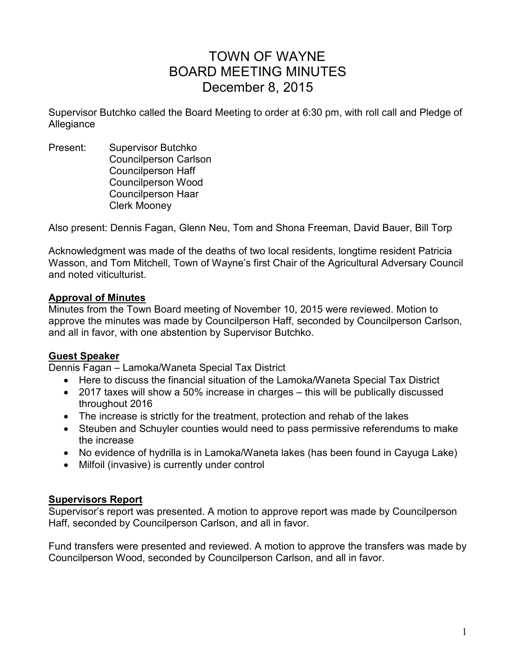# TOWN OF WAYNE BOARD MEETING MINUTES December 8, 2015

Supervisor Butchko called the Board Meeting to order at 6:30 pm, with roll call and Pledge of Allegiance

Present: Supervisor Butchko Councilperson Carlson Councilperson Haff Councilperson Wood Councilperson Haar Clerk Mooney

Also present: Dennis Fagan, Glenn Neu, Tom and Shona Freeman, David Bauer, Bill Torp

Acknowledgment was made of the deaths of two local residents, longtime resident Patricia Wasson, and Tom Mitchell, Town of Wayne's first Chair of the Agricultural Adversary Council and noted viticulturist.

### **Approval of Minutes**

Minutes from the Town Board meeting of November 10, 2015 were reviewed. Motion to approve the minutes was made by Councilperson Haff, seconded by Councilperson Carlson, and all in favor, with one abstention by Supervisor Butchko.

# **Guest Speaker**

Dennis Fagan – Lamoka/Waneta Special Tax District

- Here to discuss the financial situation of the Lamoka/Waneta Special Tax District
- 2017 taxes will show a 50% increase in charges this will be publically discussed throughout 2016
- The increase is strictly for the treatment, protection and rehab of the lakes
- Steuben and Schuyler counties would need to pass permissive referendums to make the increase
- No evidence of hydrilla is in Lamoka/Waneta lakes (has been found in Cayuga Lake)
- Milfoil (invasive) is currently under control

#### **Supervisors Report**

Supervisor's report was presented. A motion to approve report was made by Councilperson Haff, seconded by Councilperson Carlson, and all in favor.

Fund transfers were presented and reviewed. A motion to approve the transfers was made by Councilperson Wood, seconded by Councilperson Carlson, and all in favor.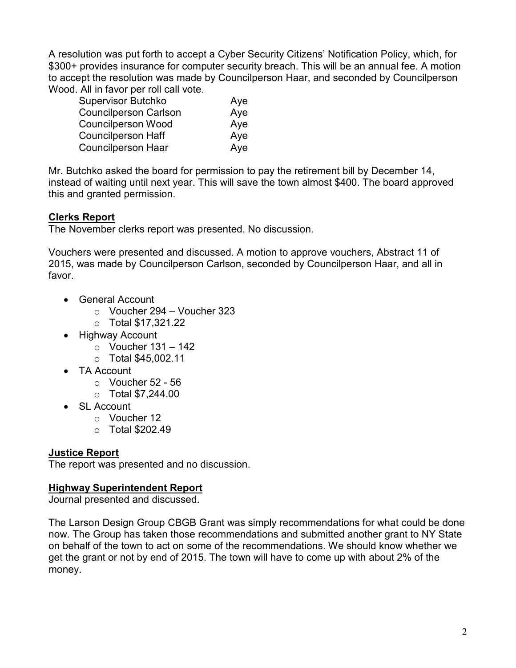A resolution was put forth to accept a Cyber Security Citizens' Notification Policy, which, for \$300+ provides insurance for computer security breach. This will be an annual fee. A motion to accept the resolution was made by Councilperson Haar, and seconded by Councilperson Wood. All in favor per roll call vote.

| <b>Supervisor Butchko</b>    | Aye |
|------------------------------|-----|
| <b>Councilperson Carlson</b> | Aye |
| <b>Councilperson Wood</b>    | Aye |
| <b>Councilperson Haff</b>    | Aye |
| <b>Councilperson Haar</b>    | Aye |

Mr. Butchko asked the board for permission to pay the retirement bill by December 14, instead of waiting until next year. This will save the town almost \$400. The board approved this and granted permission.

# **Clerks Report**

The November clerks report was presented. No discussion.

Vouchers were presented and discussed. A motion to approve vouchers, Abstract 11 of 2015, was made by Councilperson Carlson, seconded by Councilperson Haar, and all in favor.

- General Account
	- o Voucher 294 Voucher 323
	- o Total \$17,321.22
- Highway Account
	- $\circ$  Voucher 131 142
	- o Total \$45,002.11
- TA Account
	- $\circ$  Voucher 52 56
	- $\circ$  Total \$7,244.00
- SL Account
	- o Voucher 12
	- $\circ$  Total \$202.49

# **Justice Report**

The report was presented and no discussion.

# **Highway Superintendent Report**

Journal presented and discussed.

The Larson Design Group CBGB Grant was simply recommendations for what could be done now. The Group has taken those recommendations and submitted another grant to NY State on behalf of the town to act on some of the recommendations. We should know whether we get the grant or not by end of 2015. The town will have to come up with about 2% of the money.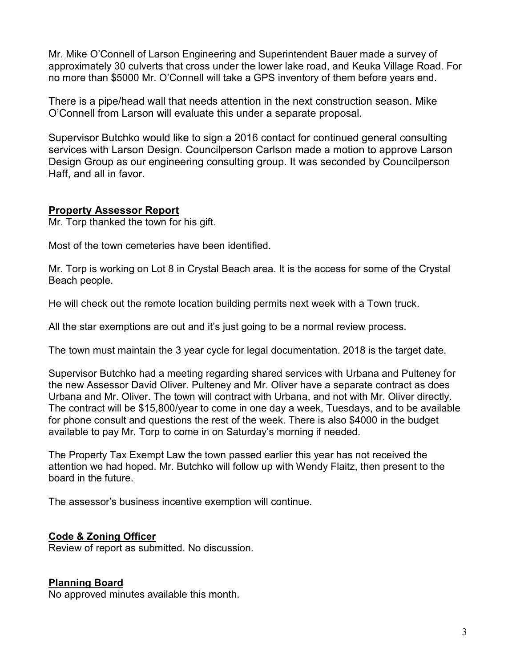Mr. Mike O'Connell of Larson Engineering and Superintendent Bauer made a survey of approximately 30 culverts that cross under the lower lake road, and Keuka Village Road. For no more than \$5000 Mr. O'Connell will take a GPS inventory of them before years end.

There is a pipe/head wall that needs attention in the next construction season. Mike O'Connell from Larson will evaluate this under a separate proposal.

Supervisor Butchko would like to sign a 2016 contact for continued general consulting services with Larson Design. Councilperson Carlson made a motion to approve Larson Design Group as our engineering consulting group. It was seconded by Councilperson Haff, and all in favor.

### **Property Assessor Report**

Mr. Torp thanked the town for his gift.

Most of the town cemeteries have been identified.

Mr. Torp is working on Lot 8 in Crystal Beach area. It is the access for some of the Crystal Beach people.

He will check out the remote location building permits next week with a Town truck.

All the star exemptions are out and it's just going to be a normal review process.

The town must maintain the 3 year cycle for legal documentation. 2018 is the target date.

Supervisor Butchko had a meeting regarding shared services with Urbana and Pulteney for the new Assessor David Oliver. Pulteney and Mr. Oliver have a separate contract as does Urbana and Mr. Oliver. The town will contract with Urbana, and not with Mr. Oliver directly. The contract will be \$15,800/year to come in one day a week, Tuesdays, and to be available for phone consult and questions the rest of the week. There is also \$4000 in the budget available to pay Mr. Torp to come in on Saturday's morning if needed.

The Property Tax Exempt Law the town passed earlier this year has not received the attention we had hoped. Mr. Butchko will follow up with Wendy Flaitz, then present to the board in the future.

The assessor's business incentive exemption will continue.

#### **Code & Zoning Officer**

Review of report as submitted. No discussion.

#### **Planning Board**

No approved minutes available this month.